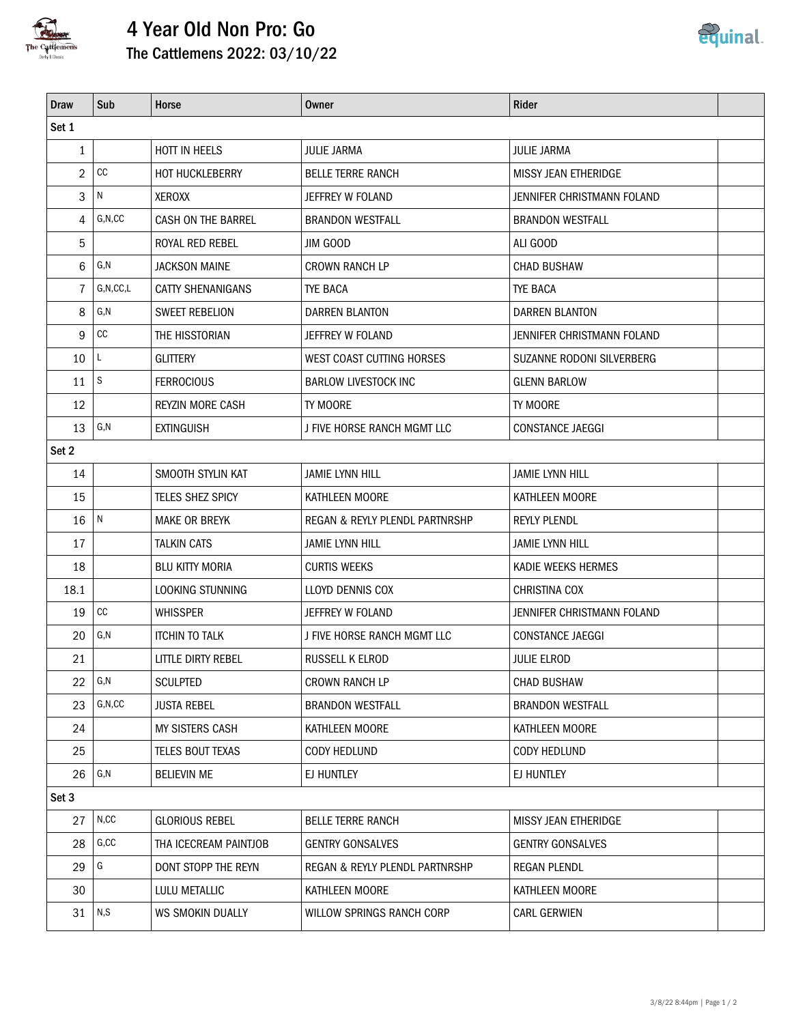

## 4 Year Old Non Pro: Go The Cattlemens 2022: 03/10/22



| <b>Draw</b>  | Sub               | Horse                   | Owner                                     | <b>Rider</b>                |  |  |  |  |  |  |
|--------------|-------------------|-------------------------|-------------------------------------------|-----------------------------|--|--|--|--|--|--|
| Set 1        |                   |                         |                                           |                             |  |  |  |  |  |  |
| $\mathbf{1}$ |                   | HOTT IN HEELS           | <b>JULIE JARMA</b>                        | JULIE JARMA                 |  |  |  |  |  |  |
| 2            | cc                | HOT HUCKLEBERRY         | <b>BELLE TERRE RANCH</b>                  | <b>MISSY JEAN ETHERIDGE</b> |  |  |  |  |  |  |
| 3            | N                 | XEROXX                  | JEFFREY W FOLAND                          | JENNIFER CHRISTMANN FOLAND  |  |  |  |  |  |  |
| 4            | G, N, CC          | CASH ON THE BARREL      | <b>BRANDON WESTFALL</b>                   | <b>BRANDON WESTFALL</b>     |  |  |  |  |  |  |
| 5            |                   | ROYAL RED REBEL         | jim Good                                  | ALI GOOD                    |  |  |  |  |  |  |
| 6            | G,N               | JACKSON MAINE           | <b>CROWN RANCH LP</b>                     | <b>CHAD BUSHAW</b>          |  |  |  |  |  |  |
| 7            | G, N, CC, L       | CATTY SHENANIGANS       | <b>TYE BACA</b>                           | <b>TYE BACA</b>             |  |  |  |  |  |  |
| 8            | G,N               | SWEET REBELION          | DARREN BLANTON                            | DARREN BLANTON              |  |  |  |  |  |  |
| 9            | $\mathop{\rm CC}$ | THE HISSTORIAN          | JEFFREY W FOLAND                          | JENNIFER CHRISTMANN FOLAND  |  |  |  |  |  |  |
| 10           | L                 | <b>GLITTERY</b>         | WEST COAST CUTTING HORSES                 | SUZANNE RODONI SILVERBERG   |  |  |  |  |  |  |
| 11           | S                 | <b>FERROCIOUS</b>       | <b>BARLOW LIVESTOCK INC</b>               | <b>GLENN BARLOW</b>         |  |  |  |  |  |  |
| 12           |                   | <b>REYZIN MORE CASH</b> | TY MOORE                                  | TY MOORE                    |  |  |  |  |  |  |
| 13           | G, N              | <b>EXTINGUISH</b>       | J FIVE HORSE RANCH MGMT LLC               | CONSTANCE JAEGGI            |  |  |  |  |  |  |
| Set 2        |                   |                         |                                           |                             |  |  |  |  |  |  |
| 14           |                   | SMOOTH STYLIN KAT       | <b>JAMIE LYNN HILL</b>                    | <b>JAMIE LYNN HILL</b>      |  |  |  |  |  |  |
| 15           |                   | TELES SHEZ SPICY        | KATHLEEN MOORE                            | KATHLEEN MOORE              |  |  |  |  |  |  |
| 16           | N                 | <b>MAKE OR BREYK</b>    | <b>REGAN &amp; REYLY PLENDL PARTNRSHP</b> | <b>REYLY PLENDL</b>         |  |  |  |  |  |  |
| 17           |                   | <b>TALKIN CATS</b>      | <b>JAMIE LYNN HILL</b>                    | <b>JAMIE LYNN HILL</b>      |  |  |  |  |  |  |
| 18           |                   | <b>BLU KITTY MORIA</b>  | <b>CURTIS WEEKS</b>                       | KADIE WEEKS HERMES          |  |  |  |  |  |  |
| 18.1         |                   | LOOKING STUNNING        | LLOYD DENNIS COX                          | CHRISTINA COX               |  |  |  |  |  |  |
| 19           | cc                | <b>WHISSPER</b>         | JEFFREY W FOLAND                          | JENNIFER CHRISTMANN FOLAND  |  |  |  |  |  |  |
| 20           | G,N               | <b>ITCHIN TO TALK</b>   | J FIVE HORSE RANCH MGMT LLC               | <b>CONSTANCE JAEGGI</b>     |  |  |  |  |  |  |
| 21           |                   | LITTLE DIRTY REBEL      | RUSSELL K ELROD                           | <b>JULIE ELROD</b>          |  |  |  |  |  |  |
| 22           | G, N              | <b>SCULPTED</b>         | <b>CROWN RANCH LP</b>                     | CHAD BUSHAW                 |  |  |  |  |  |  |
| 23           | G, N, CC          | <b>JUSTA REBEL</b>      | <b>BRANDON WESTFALL</b>                   | <b>BRANDON WESTFALL</b>     |  |  |  |  |  |  |
| 24           |                   | MY SISTERS CASH         | KATHLEEN MOORE                            | KATHLEEN MOORE              |  |  |  |  |  |  |
| 25           |                   | TELES BOUT TEXAS        | CODY HEDLUND                              | CODY HEDLUND                |  |  |  |  |  |  |
| 26           | G,N               | <b>BELIEVIN ME</b>      | EJ HUNTLEY                                | EJ HUNTLEY                  |  |  |  |  |  |  |
| Set 3        |                   |                         |                                           |                             |  |  |  |  |  |  |
| 27           | N, CC             | <b>GLORIOUS REBEL</b>   | <b>BELLE TERRE RANCH</b>                  | MISSY JEAN ETHERIDGE        |  |  |  |  |  |  |
| 28           | G, CC             | THA ICECREAM PAINTJOB   | <b>GENTRY GONSALVES</b>                   | <b>GENTRY GONSALVES</b>     |  |  |  |  |  |  |
| 29           | G                 | DONT STOPP THE REYN     | REGAN & REYLY PLENDL PARTNRSHP            | <b>REGAN PLENDL</b>         |  |  |  |  |  |  |
| 30           |                   | LULU METALLIC           | KATHLEEN MOORE                            | KATHLEEN MOORE              |  |  |  |  |  |  |
| 31           | N, S              | WS SMOKIN DUALLY        | WILLOW SPRINGS RANCH CORP                 | CARL GERWIEN                |  |  |  |  |  |  |